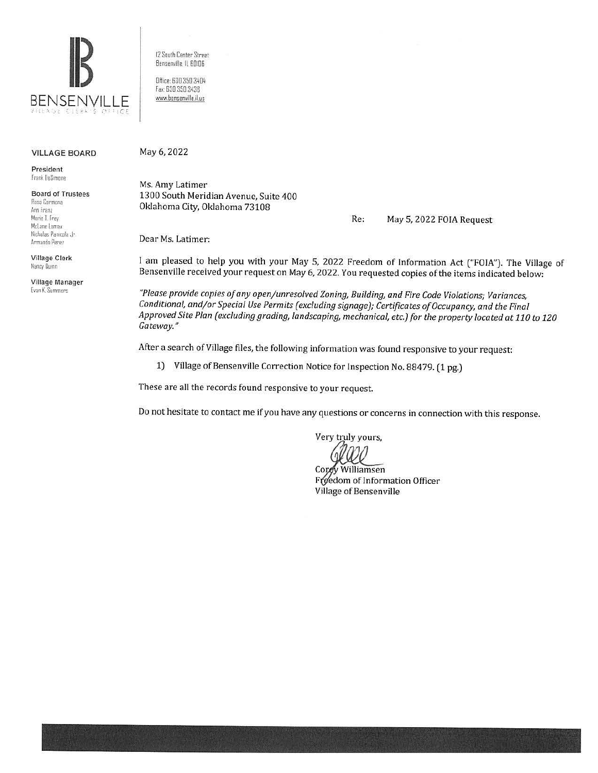

VILLAGE BOARD

President Frank DeSimone

#### Board of Trustees

Rosa Carmona Ann Fram Marie I Frey Mclane Lomax Nicholas Panicola Jr. Armando Pere1

Village Clerk Nancy Duinn

Village Manager Evan K. Summers

12 Sauth Center Street Bensemille. ll 60!06

Office: 630.350.3404 Fax: 630.350.3438 www.bensenville.iLus

#### May 6, 2022

Ms. Amy Latimer 1300 South Meridian Avenue, Suite 400 Oklahoma City, Oklahoma 73108

Re: May 5, 2022 FOIA Request

Dear Ms. Latimer:

I am pleased to help you with your May 5, 2022 Freedom of Information Act ("FOIA"). The Village of Bensenville received your request on May 6, 2022. You requested copies of the items indicated below:

*"Please provide copies of any open/unresolved Zoning, Building, and Fire Code Violations; Variances, Conditional, and/or Special Use Permits (excluding signage); Certificates of Occupancy, and the Final Approved Site Plan (excluding grading, landscaping, mechanical, etc.) for the property located at 110 to 120 Gateway."* 

After a search of Village files, the following information was found responsive to your request:

1) Village of Bensenville Correction Notice for Inspection No. 88479. (1 pg.)

These are all the records found responsive to your request.

Do not hesitate to contact me if you have any questions or concerns in connection with this response.

Very truly yours,

Corey Williamsen Freedom of Information Officer Village of Bensenville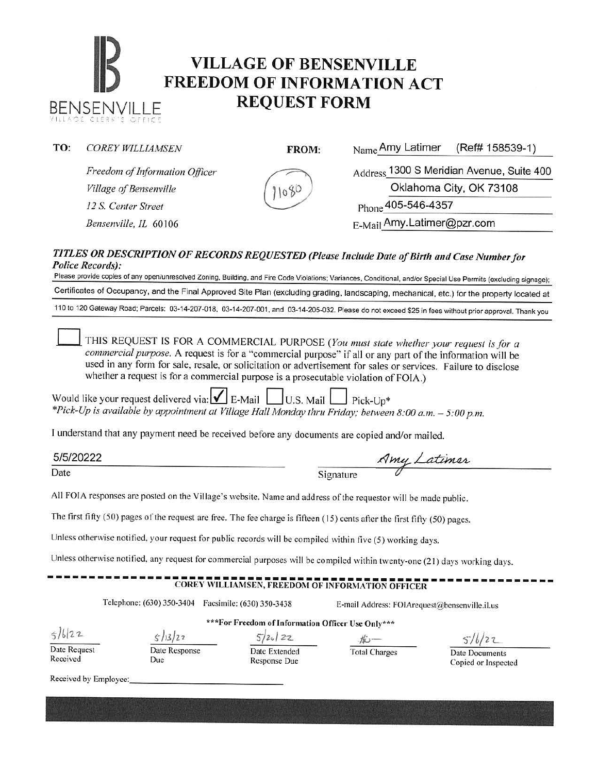# **IB VILLAGE OF BENSENVILLE**<br> **FREEDOM OF INFORMATION ACT** BENSENVILLE **REQUEST FORM**

| TO: | <b>COREY WILLIAMSEN</b>        | FROM: | Name Amy Latimer<br>(Ref# 158539-1)                                                          |
|-----|--------------------------------|-------|----------------------------------------------------------------------------------------------|
|     | Freedom of Information Officer | 11080 | Address 1300 S Meridian Avenue, Suite 400                                                    |
|     | Village of Bensenville         |       | Oklahoma City, OK 73108                                                                      |
|     | 12 S. Center Street            |       | Phone 405-546-4357                                                                           |
|     | Bensenville, IL 60106          |       | E-Mail Amy.Latimer@pzr.com                                                                   |
|     | <b>Police Records):</b>        |       | TITLES OR DESCRIPTION OF RECORDS REQUESTED (Please Include Date of Birth and Case Number for |

es of any open/unresolved Zoning, Building, and Fire Code Violations; Variances, Conditional, and/or Special Use Permits (excluding signage); Certificates of Occupancy, and the Final Approved Site Plan (excluding grading, landscaping, mechanical, etc.) for the property located at

110 to 120 Gateway Road: Parcels: 03-14-207-018, 03-14-207-001, and 03-14-205-032. Please do not exceed \$25 in fees without prior approval. Thank you

THIS REQUEST IS FOR A COMMERCIAL PURPOSE (You must state whether your request is for a *commercial purpose.* A request is for a "commercial purpose" if all or any part of the information will be used in any form for sale, resale, or solicitation or advertisement for sales or services. Failure to disclose whether a request is for a commercial purpose is a prosecutable violation of FOIA.)

Would like your request delivered via:  $\blacksquare$  E-Mail  $\blacksquare$  U.S. Mail  $\blacksquare$  Pick-Up\* *\*Pick-Up is available by appointment at Village Hall Monday thru Friday; between 8:00 a.m.* - *5:00 p.m.* 

I understand that any payment need be received before any documents are copied and/or mailed.

5/5/20222 Date Signature *A*  md/or mailed.<br>my Latimer

All FOJA responses are posted on the Village's website. Name and address of the requestor will be made public.

The first fifty (50) pages of the request are free. The fee charge is fifteen (15) cents atier the first fifty (50) pages.

Unless otherwise notified, your request for public records will be compiled within five (5) working days.

Unless otherwise notified, any request for commercial purposes will be compiled within twenty-one (21) days working days.

#### **COREY WILLIAMSEN, FREEDOM OF INFORMATION OFFICER**

Telephone: (630) 350-3404 Facsimile: (630) 350-3438 E-mail Address: F01Arequest@bensenville.il.us

 $5/6/22$ Date Request

Received

**\*\*\*For Freedom of Information Officer Use Only\*\*\***   $5/13/27$ 

Date Response Due

 $5/20/22$ Date Extended Response Due

file —<br>Total Charges

 $516/22$ 

Date Documents Copied or Inspected

Received by Employee: